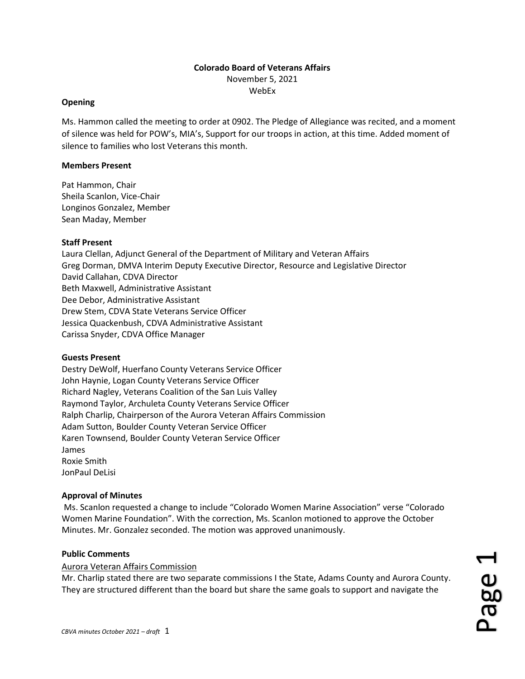## Colorado Board of Veterans Affairs November 5, 2021 WebEx

Ms. Hammon called the meeting to order at 0902. The Pledge of Allegiance was recited, and a moment of silence was held for POW's, MIA's, Support for our troops in action, at this time. Added moment of silence to families who lost Veterans this month.

## Members Present

Opening

Pat Hammon, Chair Sheila Scanlon, Vice-Chair Longinos Gonzalez, Member Sean Maday, Member

# Staff Present

Laura Clellan, Adjunct General of the Department of Military and Veteran Affairs Greg Dorman, DMVA Interim Deputy Executive Director, Resource and Legislative Director David Callahan, CDVA Director Beth Maxwell, Administrative Assistant Dee Debor, Administrative Assistant Drew Stem, CDVA State Veterans Service Officer Jessica Quackenbush, CDVA Administrative Assistant Carissa Snyder, CDVA Office Manager

## Guests Present

Destry DeWolf, Huerfano County Veterans Service Officer John Haynie, Logan County Veterans Service Officer Richard Nagley, Veterans Coalition of the San Luis Valley Raymond Taylor, Archuleta County Veterans Service Officer Ralph Charlip, Chairperson of the Aurora Veteran Affairs Commission Adam Sutton, Boulder County Veteran Service Officer Karen Townsend, Boulder County Veteran Service Officer James Roxie Smith JonPaul DeLisi

## Approval of Minutes

 Ms. Scanlon requested a change to include "Colorado Women Marine Association" verse "Colorado Women Marine Foundation". With the correction, Ms. Scanlon motioned to approve the October Minutes. Mr. Gonzalez seconded. The motion was approved unanimously.

# Public Comments

## Aurora Veteran Affairs Commission

Mr. Charlip stated there are two separate commissions I the State, Adams County and Aurora County. Public Comments<br>
Aurora Veteran Affairs Commission<br>
Mr. Charlip stated there are two separate commissions I the State, Adams County and Aurora County.<br>
They are structured different than the board but share the same goals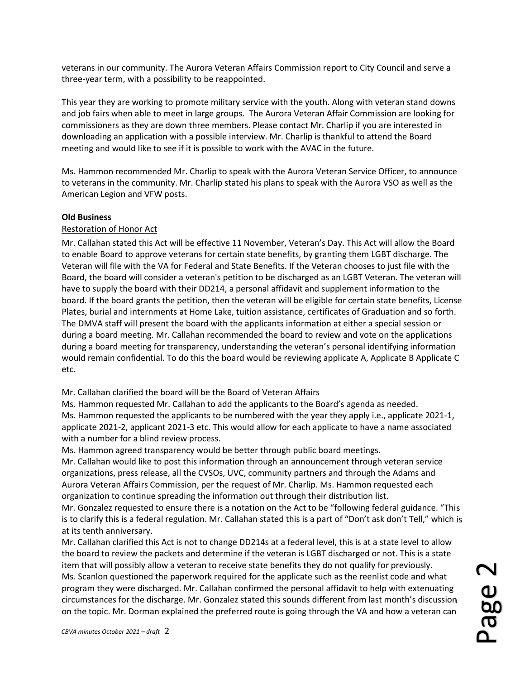veterans in our community. The Aurora Veteran Affairs Commission report to City Council and serve a three-year term, with a possibility to be reappointed.

This year they are working to promote military service with the youth. Along with veteran stand downs and job fairs when able to meet in large groups. The Aurora Veteran Affair Commission are looking for commissioners as they are down three members. Please contact Mr. Charlip if you are interested in downloading an application with a possible interview. Mr. Charlip is thankful to attend the Board meeting and would like to see if it is possible to work with the AVAC in the future.

Ms. Hammon recommended Mr. Charlip to speak with the Aurora Veteran Service Officer, to announce to veterans in the community. Mr. Charlip stated his plans to speak with the Aurora VSO as well as the American Legion and VFW posts.

## Old Business

## Restoration of Honor Act

Mr. Callahan stated this Act will be effective 11 November, Veteran's Day. This Act will allow the Board to enable Board to approve veterans for certain state benefits, by granting them LGBT discharge. The Veteran will file with the VA for Federal and State Benefits. If the Veteran chooses to just file with the Board, the board will consider a veteran's petition to be discharged as an LGBT Veteran. The veteran will have to supply the board with their DD214, a personal affidavit and supplement information to the board. If the board grants the petition, then the veteran will be eligible for certain state benefits, License Plates, burial and internments at Home Lake, tuition assistance, certificates of Graduation and so forth. The DMVA staff will present the board with the applicants information at either a special session or during a board meeting. Mr. Callahan recommended the board to review and vote on the applications during a board meeting for transparency, understanding the veteran's personal identifying information would remain confidential. To do this the board would be reviewing applicate A, Applicate B Applicate C etc.

Mr. Callahan clarified the board will be the Board of Veteran Affairs

Ms. Hammon requested Mr. Callahan to add the applicants to the Board's agenda as needed. Ms. Hammon requested the applicants to be numbered with the year they apply i.e., applicate 2021-1, applicate 2021-2, applicant 2021-3 etc. This would allow for each applicate to have a name associated with a number for a blind review process.

Ms. Hammon agreed transparency would be better through public board meetings.

Mr. Callahan would like to post this information through an announcement through veteran service organizations, press release, all the CVSOs, UVC, community partners and through the Adams and Aurora Veteran Affairs Commission, per the request of Mr. Charlip. Ms. Hammon requested each organization to continue spreading the information out through their distribution list.

Mr. Gonzalez requested to ensure there is a notation on the Act to be "following federal guidance. "This is to clarify this is a federal regulation. Mr. Callahan stated this is a part of "Don't ask don't Tell," which is at its tenth anniversary.

Mr. Callahan clarified this Act is not to change DD214s at a federal level, this is at a state level to allow the board to review the packets and determine if the veteran is LGBT discharged or not. This is a state item that will possibly allow a veteran to receive state benefits they do not qualify for previously. Ms. Scanlon questioned the paperwork required for the applicate such as the reenlist code and what program they were discharged. Mr. Callahan confirmed the personal affidavit to help with extenuating circumstances for the discharge. Mr. Gonzalez stated this sounds different from last month's discussion The board to review the packets and determine if the vecerari's EODT discharged of not. This is a state<br>tiem that will possibly allow a veteran to receive state benefits they do not qualify for previously.<br>Ms. Scanlon ques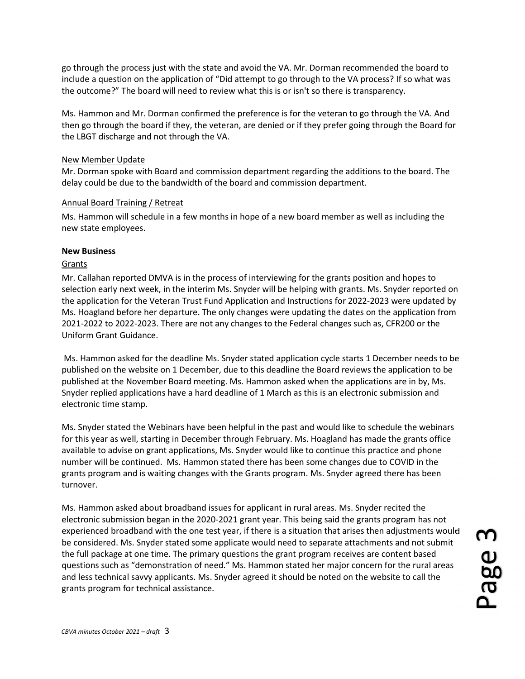go through the process just with the state and avoid the VA. Mr. Dorman recommended the board to include a question on the application of "Did attempt to go through to the VA process? If so what was the outcome?" The board will need to review what this is or isn't so there is transparency.

Ms. Hammon and Mr. Dorman confirmed the preference is for the veteran to go through the VA. And then go through the board if they, the veteran, are denied or if they prefer going through the Board for the LBGT discharge and not through the VA.

#### New Member Update

Mr. Dorman spoke with Board and commission department regarding the additions to the board. The delay could be due to the bandwidth of the board and commission department.

#### Annual Board Training / Retreat

Ms. Hammon will schedule in a few months in hope of a new board member as well as including the new state employees.

#### New Business

## Grants

Mr. Callahan reported DMVA is in the process of interviewing for the grants position and hopes to selection early next week, in the interim Ms. Snyder will be helping with grants. Ms. Snyder reported on the application for the Veteran Trust Fund Application and Instructions for 2022-2023 were updated by Ms. Hoagland before her departure. The only changes were updating the dates on the application from 2021-2022 to 2022-2023. There are not any changes to the Federal changes such as, CFR200 or the Uniform Grant Guidance.

 Ms. Hammon asked for the deadline Ms. Snyder stated application cycle starts 1 December needs to be published on the website on 1 December, due to this deadline the Board reviews the application to be published at the November Board meeting. Ms. Hammon asked when the applications are in by, Ms. Snyder replied applications have a hard deadline of 1 March as this is an electronic submission and electronic time stamp.

Ms. Snyder stated the Webinars have been helpful in the past and would like to schedule the webinars for this year as well, starting in December through February. Ms. Hoagland has made the grants office available to advise on grant applications, Ms. Snyder would like to continue this practice and phone number will be continued. Ms. Hammon stated there has been some changes due to COVID in the grants program and is waiting changes with the Grants program. Ms. Snyder agreed there has been turnover.

Ms. Hammon asked about broadband issues for applicant in rural areas. Ms. Snyder recited the electronic submission began in the 2020-2021 grant year. This being said the grants program has not experienced broadband with the one test year, if there is a situation that arises then adjustments would be considered. Ms. Snyder stated some applicate would need to separate attachments and not submit the full package at one time. The primary questions the grant program receives are content based questions such as "demonstration of need." Ms. Hammon stated her major concern for the rural areas and less technical savvy applicants. Ms. Snyder agreed it should be noted on the website to call the experienced broadband with the one test year, if there is a situation that arises then adjustments would<br>be considered. Ms. Snyder stated some applicate would need to separate attachments and not submit<br>the full package at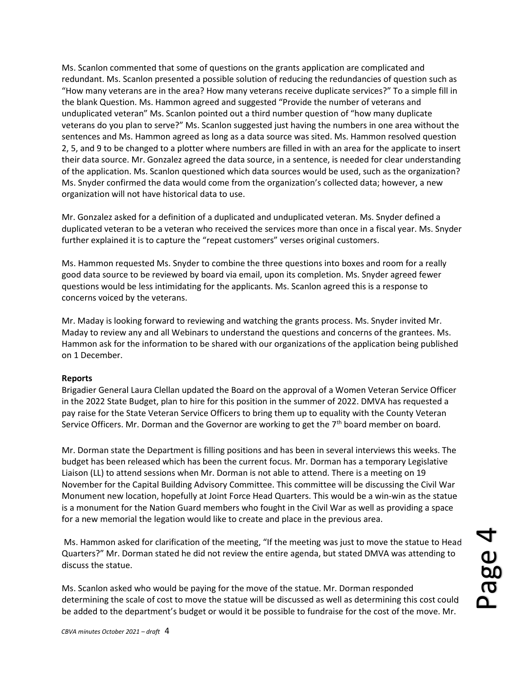Ms. Scanlon commented that some of questions on the grants application are complicated and redundant. Ms. Scanlon presented a possible solution of reducing the redundancies of question such as "How many veterans are in the area? How many veterans receive duplicate services?" To a simple fill in the blank Question. Ms. Hammon agreed and suggested "Provide the number of veterans and unduplicated veteran" Ms. Scanlon pointed out a third number question of "how many duplicate veterans do you plan to serve?" Ms. Scanlon suggested just having the numbers in one area without the sentences and Ms. Hammon agreed as long as a data source was sited. Ms. Hammon resolved question 2, 5, and 9 to be changed to a plotter where numbers are filled in with an area for the applicate to insert their data source. Mr. Gonzalez agreed the data source, in a sentence, is needed for clear understanding of the application. Ms. Scanlon questioned which data sources would be used, such as the organization? Ms. Snyder confirmed the data would come from the organization's collected data; however, a new organization will not have historical data to use.

Mr. Gonzalez asked for a definition of a duplicated and unduplicated veteran. Ms. Snyder defined a duplicated veteran to be a veteran who received the services more than once in a fiscal year. Ms. Snyder further explained it is to capture the "repeat customers" verses original customers.

Ms. Hammon requested Ms. Snyder to combine the three questions into boxes and room for a really good data source to be reviewed by board via email, upon its completion. Ms. Snyder agreed fewer questions would be less intimidating for the applicants. Ms. Scanlon agreed this is a response to concerns voiced by the veterans.

Mr. Maday is looking forward to reviewing and watching the grants process. Ms. Snyder invited Mr. Maday to review any and all Webinars to understand the questions and concerns of the grantees. Ms. Hammon ask for the information to be shared with our organizations of the application being published on 1 December.

#### Reports

Brigadier General Laura Clellan updated the Board on the approval of a Women Veteran Service Officer in the 2022 State Budget, plan to hire for this position in the summer of 2022. DMVA has requested a pay raise for the State Veteran Service Officers to bring them up to equality with the County Veteran Service Officers. Mr. Dorman and the Governor are working to get the 7<sup>th</sup> board member on board.

Mr. Dorman state the Department is filling positions and has been in several interviews this weeks. The budget has been released which has been the current focus. Mr. Dorman has a temporary Legislative Liaison (LL) to attend sessions when Mr. Dorman is not able to attend. There is a meeting on 19 November for the Capital Building Advisory Committee. This committee will be discussing the Civil War Monument new location, hopefully at Joint Force Head Quarters. This would be a win-win as the statue is a monument for the Nation Guard members who fought in the Civil War as well as providing a space for a new memorial the legation would like to create and place in the previous area.

 Ms. Hammon asked for clarification of the meeting, "If the meeting was just to move the statue to Head Quarters?" Mr. Dorman stated he did not review the entire agenda, but stated DMVA was attending to discuss the statue. be added to the department's budget or would it be possible to fundraise for the statue to Head Quarters?" Mr. Dorman stated he did not review the entire agenda, but stated DMVA was attending to discuss the statue.<br>Ms. Sca

Ms. Scanlon asked who would be paying for the move of the statue. Mr. Dorman responded determining the scale of cost to move the statue will be discussed as well as determining this cost could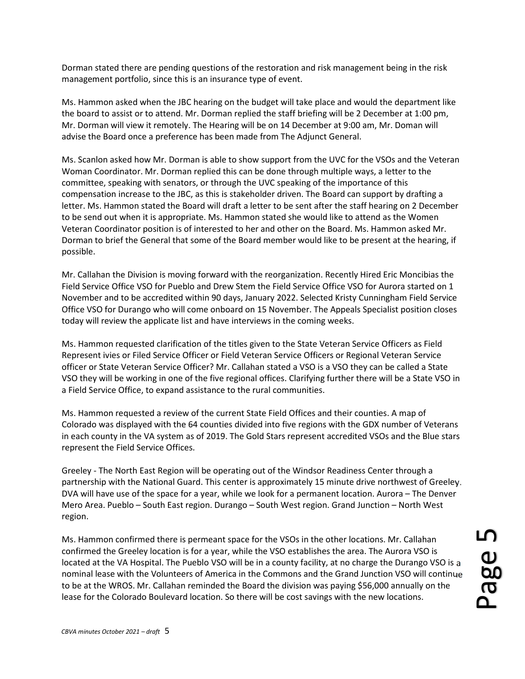Dorman stated there are pending questions of the restoration and risk management being in the risk management portfolio, since this is an insurance type of event.

Ms. Hammon asked when the JBC hearing on the budget will take place and would the department like the board to assist or to attend. Mr. Dorman replied the staff briefing will be 2 December at 1:00 pm, Mr. Dorman will view it remotely. The Hearing will be on 14 December at 9:00 am, Mr. Doman will advise the Board once a preference has been made from The Adjunct General.

Ms. Scanlon asked how Mr. Dorman is able to show support from the UVC for the VSOs and the Veteran Woman Coordinator. Mr. Dorman replied this can be done through multiple ways, a letter to the committee, speaking with senators, or through the UVC speaking of the importance of this compensation increase to the JBC, as this is stakeholder driven. The Board can support by drafting a letter. Ms. Hammon stated the Board will draft a letter to be sent after the staff hearing on 2 December to be send out when it is appropriate. Ms. Hammon stated she would like to attend as the Women Veteran Coordinator position is of interested to her and other on the Board. Ms. Hammon asked Mr. Dorman to brief the General that some of the Board member would like to be present at the hearing, if possible.

Mr. Callahan the Division is moving forward with the reorganization. Recently Hired Eric Moncibias the Field Service Office VSO for Pueblo and Drew Stem the Field Service Office VSO for Aurora started on 1 November and to be accredited within 90 days, January 2022. Selected Kristy Cunningham Field Service Office VSO for Durango who will come onboard on 15 November. The Appeals Specialist position closes today will review the applicate list and have interviews in the coming weeks.

Ms. Hammon requested clarification of the titles given to the State Veteran Service Officers as Field Represent ivies or Filed Service Officer or Field Veteran Service Officers or Regional Veteran Service officer or State Veteran Service Officer? Mr. Callahan stated a VSO is a VSO they can be called a State VSO they will be working in one of the five regional offices. Clarifying further there will be a State VSO in a Field Service Office, to expand assistance to the rural communities.

Ms. Hammon requested a review of the current State Field Offices and their counties. A map of Colorado was displayed with the 64 counties divided into five regions with the GDX number of Veterans in each county in the VA system as of 2019. The Gold Stars represent accredited VSOs and the Blue stars represent the Field Service Offices.

Greeley - The North East Region will be operating out of the Windsor Readiness Center through a partnership with the National Guard. This center is approximately 15 minute drive northwest of Greeley. DVA will have use of the space for a year, while we look for a permanent location. Aurora – The Denver Mero Area. Pueblo – South East region. Durango – South West region. Grand Junction – North West region.

Ms. Hammon confirmed there is permeant space for the VSOs in the other locations. Mr. Callahan confirmed the Greeley location is for a year, while the VSO establishes the area. The Aurora VSO is located at the VA Hospital. The Pueblo VSO will be in a county facility, at no charge the Durango VSO is a nominal lease with the Volunteers of America in the Commons and the Grand Junction VSO will continue to be at the WROS. Mr. Callahan reminded the Board the division was paying \$56,000 annually on the Ms. Hammon confirmed there is permeant space for the VSOs in the other locations. Mr. Callahan<br>confirmed the Greeley location is for a year, while the VSO establishes the area. The Aurora VSO is<br>located at the VA Hospital.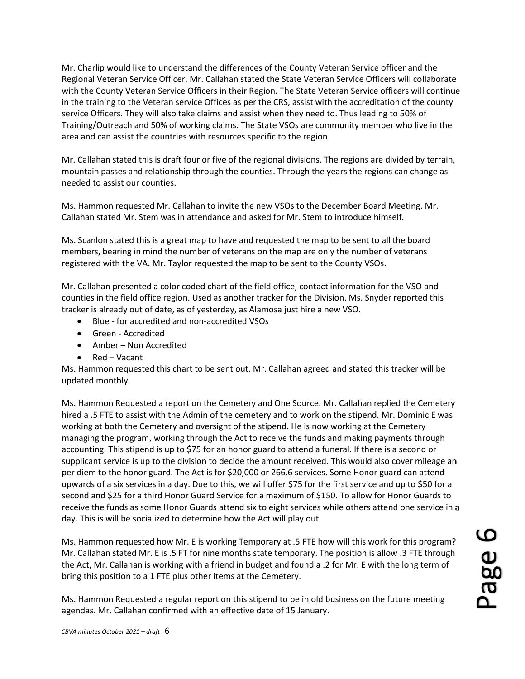Mr. Charlip would like to understand the differences of the County Veteran Service officer and the Regional Veteran Service Officer. Mr. Callahan stated the State Veteran Service Officers will collaborate with the County Veteran Service Officers in their Region. The State Veteran Service officers will continue in the training to the Veteran service Offices as per the CRS, assist with the accreditation of the county service Officers. They will also take claims and assist when they need to. Thus leading to 50% of Training/Outreach and 50% of working claims. The State VSOs are community member who live in the area and can assist the countries with resources specific to the region.

Mr. Callahan stated this is draft four or five of the regional divisions. The regions are divided by terrain, mountain passes and relationship through the counties. Through the years the regions can change as needed to assist our counties.

Ms. Hammon requested Mr. Callahan to invite the new VSOs to the December Board Meeting. Mr. Callahan stated Mr. Stem was in attendance and asked for Mr. Stem to introduce himself.

Ms. Scanlon stated this is a great map to have and requested the map to be sent to all the board members, bearing in mind the number of veterans on the map are only the number of veterans registered with the VA. Mr. Taylor requested the map to be sent to the County VSOs.

Mr. Callahan presented a color coded chart of the field office, contact information for the VSO and counties in the field office region. Used as another tracker for the Division. Ms. Snyder reported this tracker is already out of date, as of yesterday, as Alamosa just hire a new VSO.

- Blue for accredited and non-accredited VSOs
- Green Accredited
- Amber Non Accredited
- Red Vacant

Ms. Hammon requested this chart to be sent out. Mr. Callahan agreed and stated this tracker will be updated monthly.

Ms. Hammon Requested a report on the Cemetery and One Source. Mr. Callahan replied the Cemetery hired a .5 FTE to assist with the Admin of the cemetery and to work on the stipend. Mr. Dominic E was working at both the Cemetery and oversight of the stipend. He is now working at the Cemetery managing the program, working through the Act to receive the funds and making payments through accounting. This stipend is up to \$75 for an honor guard to attend a funeral. If there is a second or supplicant service is up to the division to decide the amount received. This would also cover mileage an per diem to the honor guard. The Act is for \$20,000 or 266.6 services. Some Honor guard can attend upwards of a six services in a day. Due to this, we will offer \$75 for the first service and up to \$50 for a second and \$25 for a third Honor Guard Service for a maximum of \$150. To allow for Honor Guards to receive the funds as some Honor Guards attend six to eight services while others attend one service in a day. This is will be socialized to determine how the Act will play out.

Ms. Hammon requested how Mr. E is working Temporary at .5 FTE how will this work for this program? Mr. Callahan stated Mr. E is .5 FT for nine months state temporary. The position is allow .3 FTE through the Act, Mr. Callahan is working with a friend in budget and found a .2 for Mr. E with the long term of bring this position to a 1 FTE plus other items at the Cemetery. Ms. Hammon requested how Mr. E is working Temporary at .5 FTE how will this work for this program?<br>Mr. Callahan stated Mr. E is .5 FT for nine months state temporary. The position is allow .3 FTE through<br>the Act, Mr. Calla

Ms. Hammon Requested a regular report on this stipend to be in old business on the future meeting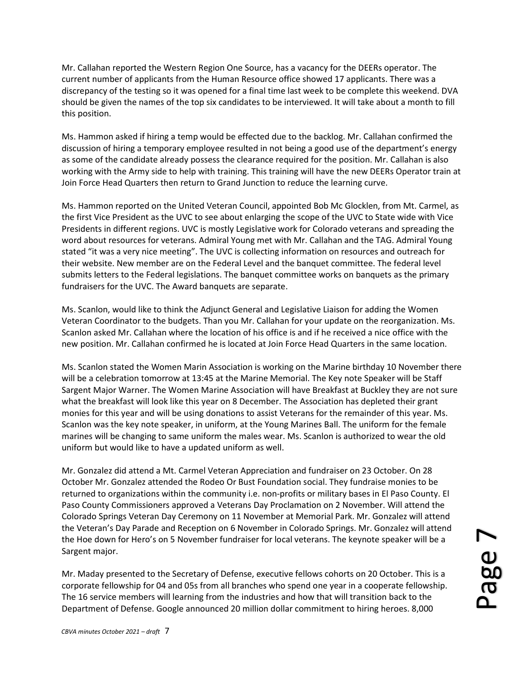Mr. Callahan reported the Western Region One Source, has a vacancy for the DEERs operator. The current number of applicants from the Human Resource office showed 17 applicants. There was a discrepancy of the testing so it was opened for a final time last week to be complete this weekend. DVA should be given the names of the top six candidates to be interviewed. It will take about a month to fill this position.

Ms. Hammon asked if hiring a temp would be effected due to the backlog. Mr. Callahan confirmed the discussion of hiring a temporary employee resulted in not being a good use of the department's energy as some of the candidate already possess the clearance required for the position. Mr. Callahan is also working with the Army side to help with training. This training will have the new DEERs Operator train at Join Force Head Quarters then return to Grand Junction to reduce the learning curve.

Ms. Hammon reported on the United Veteran Council, appointed Bob Mc Glocklen, from Mt. Carmel, as the first Vice President as the UVC to see about enlarging the scope of the UVC to State wide with Vice Presidents in different regions. UVC is mostly Legislative work for Colorado veterans and spreading the word about resources for veterans. Admiral Young met with Mr. Callahan and the TAG. Admiral Young stated "it was a very nice meeting". The UVC is collecting information on resources and outreach for their website. New member are on the Federal Level and the banquet committee. The federal level submits letters to the Federal legislations. The banquet committee works on banquets as the primary fundraisers for the UVC. The Award banquets are separate.

Ms. Scanlon, would like to think the Adjunct General and Legislative Liaison for adding the Women Veteran Coordinator to the budgets. Than you Mr. Callahan for your update on the reorganization. Ms. Scanlon asked Mr. Callahan where the location of his office is and if he received a nice office with the new position. Mr. Callahan confirmed he is located at Join Force Head Quarters in the same location.

Ms. Scanlon stated the Women Marin Association is working on the Marine birthday 10 November there will be a celebration tomorrow at 13:45 at the Marine Memorial. The Key note Speaker will be Staff Sargent Major Warner. The Women Marine Association will have Breakfast at Buckley they are not sure what the breakfast will look like this year on 8 December. The Association has depleted their grant monies for this year and will be using donations to assist Veterans for the remainder of this year. Ms. Scanlon was the key note speaker, in uniform, at the Young Marines Ball. The uniform for the female marines will be changing to same uniform the males wear. Ms. Scanlon is authorized to wear the old uniform but would like to have a updated uniform as well.

Mr. Gonzalez did attend a Mt. Carmel Veteran Appreciation and fundraiser on 23 October. On 28 October Mr. Gonzalez attended the Rodeo Or Bust Foundation social. They fundraise monies to be returned to organizations within the community i.e. non-profits or military bases in El Paso County. El Paso County Commissioners approved a Veterans Day Proclamation on 2 November. Will attend the Colorado Springs Veteran Day Ceremony on 11 November at Memorial Park. Mr. Gonzalez will attend the Veteran's Day Parade and Reception on 6 November in Colorado Springs. Mr. Gonzalez will attend the Hoe down for Hero's on 5 November fundraiser for local veterans. The keynote speaker will be a Sargent major.

Mr. Maday presented to the Secretary of Defense, executive fellows cohorts on 20 October. This is a corporate fellowship for 04 and 05s from all branches who spend one year in a cooperate fellowship. The 16 service members will learning from the industries and how that will transition back to the the Veteran's Day Parade and Reception on 6 November in Colorado Springs. Mr. Gonzalez will attend<br>the Hoe down for Hero's on 5 November fundraiser for local veterans. The keynote speaker will be a<br>Sargent major.<br>Mr. Maday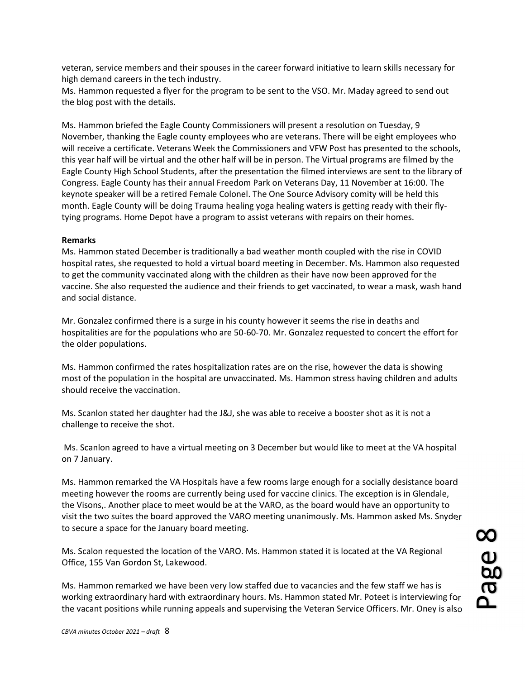veteran, service members and their spouses in the career forward initiative to learn skills necessary for high demand careers in the tech industry.

Ms. Hammon requested a flyer for the program to be sent to the VSO. Mr. Maday agreed to send out the blog post with the details.

Ms. Hammon briefed the Eagle County Commissioners will present a resolution on Tuesday, 9 November, thanking the Eagle county employees who are veterans. There will be eight employees who will receive a certificate. Veterans Week the Commissioners and VFW Post has presented to the schools, this year half will be virtual and the other half will be in person. The Virtual programs are filmed by the Eagle County High School Students, after the presentation the filmed interviews are sent to the library of Congress. Eagle County has their annual Freedom Park on Veterans Day, 11 November at 16:00. The keynote speaker will be a retired Female Colonel. The One Source Advisory comity will be held this month. Eagle County will be doing Trauma healing yoga healing waters is getting ready with their flytying programs. Home Depot have a program to assist veterans with repairs on their homes.

## Remarks

Ms. Hammon stated December is traditionally a bad weather month coupled with the rise in COVID hospital rates, she requested to hold a virtual board meeting in December. Ms. Hammon also requested to get the community vaccinated along with the children as their have now been approved for the vaccine. She also requested the audience and their friends to get vaccinated, to wear a mask, wash hand and social distance.

Mr. Gonzalez confirmed there is a surge in his county however it seems the rise in deaths and hospitalities are for the populations who are 50-60-70. Mr. Gonzalez requested to concert the effort for the older populations.

Ms. Hammon confirmed the rates hospitalization rates are on the rise, however the data is showing most of the population in the hospital are unvaccinated. Ms. Hammon stress having children and adults should receive the vaccination.

Ms. Scanlon stated her daughter had the J&J, she was able to receive a booster shot as it is not a challenge to receive the shot.

 Ms. Scanlon agreed to have a virtual meeting on 3 December but would like to meet at the VA hospital on 7 January.

Ms. Hammon remarked the VA Hospitals have a few rooms large enough for a socially desistance board meeting however the rooms are currently being used for vaccine clinics. The exception is in Glendale, the Visons,. Another place to meet would be at the VARO, as the board would have an opportunity to visit the two suites the board approved the VARO meeting unanimously. Ms. Hammon asked Ms. Snyder to secure a space for the January board meeting.

Ms. Scalon requested the location of the VARO. Ms. Hammon stated it is located at the VA Regional Office, 155 Van Gordon St, Lakewood.

Ms. Hammon remarked we have been very low staffed due to vacancies and the few staff we has is working extraordinary hard with extraordinary hours. Ms. Hammon stated Mr. Poteet is interviewing for to secure a space for the January board meeting.<br>
Ms. Scalon requested the location of the VARO. Ms. Hammon stated it is located at the VA Regional<br>
Office, 155 Van Gordon St, Lakewood.<br>
Ms. Hammon remarked we have been ve